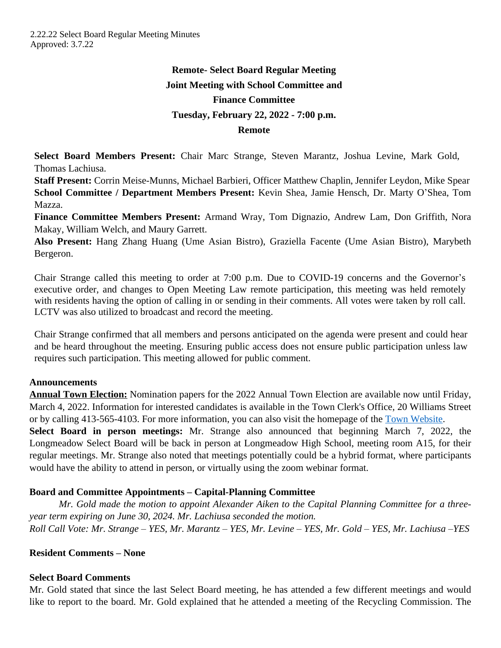# **Remote- Select Board Regular Meeting Joint Meeting with School Committee and Finance Committee Tuesday, February 22, 2022 - 7:00 p.m. Remote**

**Select Board Members Present:** Chair Marc Strange, Steven Marantz, Joshua Levine, Mark Gold, Thomas Lachiusa.

**Staff Present:** Corrin Meise-Munns, Michael Barbieri, Officer Matthew Chaplin, Jennifer Leydon, Mike Spear **School Committee / Department Members Present:** Kevin Shea, Jamie Hensch, Dr. Marty O'Shea, Tom Mazza.

**Finance Committee Members Present:** Armand Wray, Tom Dignazio, Andrew Lam, Don Griffith, Nora Makay, William Welch, and Maury Garrett.

**Also Present:** Hang Zhang Huang (Ume Asian Bistro), Graziella Facente (Ume Asian Bistro), Marybeth Bergeron.

Chair Strange called this meeting to order at 7:00 p.m. Due to COVID-19 concerns and the Governor's executive order, and changes to Open Meeting Law remote participation, this meeting was held remotely with residents having the option of calling in or sending in their comments. All votes were taken by roll call. LCTV was also utilized to broadcast and record the meeting.

Chair Strange confirmed that all members and persons anticipated on the agenda were present and could hear and be heard throughout the meeting. Ensuring public access does not ensure public participation unless law requires such participation. This meeting allowed for public comment.

## **Announcements**

**Annual Town Election:** Nomination papers for the 2022 Annual Town Election are available now until Friday, March 4, 2022. Information for interested candidates is available in the Town Clerk's Office, 20 Williams Street or by calling 413-565-4103. For more information, you can also visit the homepage of the [Town Website](https://www.longmeadow.org/CivicAlerts.aspx?AID=807).

**Select Board in person meetings:** Mr. Strange also announced that beginning March 7, 2022, the Longmeadow Select Board will be back in person at Longmeadow High School, meeting room A15, for their regular meetings. Mr. Strange also noted that meetings potentially could be a hybrid format, where participants would have the ability to attend in person, or virtually using the zoom webinar format.

## **Board and Committee Appointments – Capital-Planning Committee**

*Mr. Gold made the motion to appoint Alexander Aiken to the Capital Planning Committee for a threeyear term expiring on June 30, 2024. Mr. Lachiusa seconded the motion. Roll Call Vote: Mr. Strange – YES, Mr. Marantz – YES, Mr. Levine – YES, Mr. Gold – YES, Mr. Lachiusa –YES*

## **Resident Comments – None**

## **Select Board Comments**

Mr. Gold stated that since the last Select Board meeting, he has attended a few different meetings and would like to report to the board. Mr. Gold explained that he attended a meeting of the Recycling Commission. The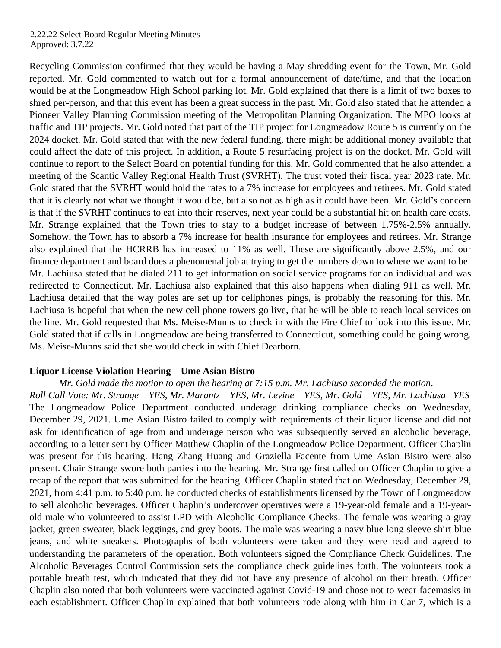Recycling Commission confirmed that they would be having a May shredding event for the Town, Mr. Gold reported. Mr. Gold commented to watch out for a formal announcement of date/time, and that the location would be at the Longmeadow High School parking lot. Mr. Gold explained that there is a limit of two boxes to shred per-person, and that this event has been a great success in the past. Mr. Gold also stated that he attended a Pioneer Valley Planning Commission meeting of the Metropolitan Planning Organization. The MPO looks at traffic and TIP projects. Mr. Gold noted that part of the TIP project for Longmeadow Route 5 is currently on the 2024 docket. Mr. Gold stated that with the new federal funding, there might be additional money available that could affect the date of this project. In addition, a Route 5 resurfacing project is on the docket. Mr. Gold will continue to report to the Select Board on potential funding for this. Mr. Gold commented that he also attended a meeting of the Scantic Valley Regional Health Trust (SVRHT). The trust voted their fiscal year 2023 rate. Mr. Gold stated that the SVRHT would hold the rates to a 7% increase for employees and retirees. Mr. Gold stated that it is clearly not what we thought it would be, but also not as high as it could have been. Mr. Gold's concern is that if the SVRHT continues to eat into their reserves, next year could be a substantial hit on health care costs. Mr. Strange explained that the Town tries to stay to a budget increase of between 1.75%-2.5% annually. Somehow, the Town has to absorb a 7% increase for health insurance for employees and retirees. Mr. Strange also explained that the HCRRB has increased to 11% as well. These are significantly above 2.5%, and our finance department and board does a phenomenal job at trying to get the numbers down to where we want to be. Mr. Lachiusa stated that he dialed 211 to get information on social service programs for an individual and was redirected to Connecticut. Mr. Lachiusa also explained that this also happens when dialing 911 as well. Mr. Lachiusa detailed that the way poles are set up for cellphones pings, is probably the reasoning for this. Mr. Lachiusa is hopeful that when the new cell phone towers go live, that he will be able to reach local services on the line. Mr. Gold requested that Ms. Meise-Munns to check in with the Fire Chief to look into this issue. Mr. Gold stated that if calls in Longmeadow are being transferred to Connecticut, something could be going wrong. Ms. Meise-Munns said that she would check in with Chief Dearborn.

#### **Liquor License Violation Hearing – Ume Asian Bistro**

*Mr. Gold made the motion to open the hearing at 7:15 p.m. Mr. Lachiusa seconded the motion*. *Roll Call Vote: Mr. Strange – YES, Mr. Marantz – YES, Mr. Levine – YES, Mr. Gold – YES, Mr. Lachiusa –YES* The Longmeadow Police Department conducted underage drinking compliance checks on Wednesday, December 29, 2021. Ume Asian Bistro failed to comply with requirements of their liquor license and did not ask for identification of age from and underage person who was subsequently served an alcoholic beverage, according to a letter sent by Officer Matthew Chaplin of the Longmeadow Police Department. Officer Chaplin was present for this hearing. Hang Zhang Huang and Graziella Facente from Ume Asian Bistro were also present. Chair Strange swore both parties into the hearing. Mr. Strange first called on Officer Chaplin to give a recap of the report that was submitted for the hearing. Officer Chaplin stated that on Wednesday, December 29, 2021, from 4:41 p.m. to 5:40 p.m. he conducted checks of establishments licensed by the Town of Longmeadow to sell alcoholic beverages. Officer Chaplin's undercover operatives were a 19-year-old female and a 19-yearold male who volunteered to assist LPD with Alcoholic Compliance Checks. The female was wearing a gray jacket, green sweater, black leggings, and grey boots. The male was wearing a navy blue long sleeve shirt blue jeans, and white sneakers. Photographs of both volunteers were taken and they were read and agreed to understanding the parameters of the operation. Both volunteers signed the Compliance Check Guidelines. The Alcoholic Beverages Control Commission sets the compliance check guidelines forth. The volunteers took a portable breath test, which indicated that they did not have any presence of alcohol on their breath. Officer Chaplin also noted that both volunteers were vaccinated against Covid-19 and chose not to wear facemasks in each establishment. Officer Chaplin explained that both volunteers rode along with him in Car 7, which is a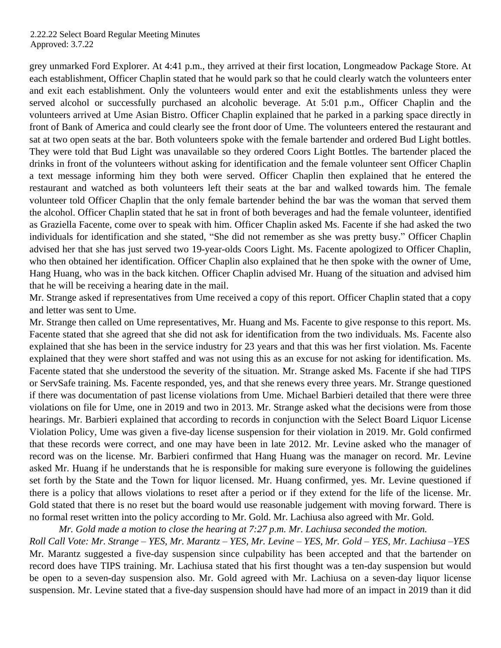grey unmarked Ford Explorer. At 4:41 p.m., they arrived at their first location, Longmeadow Package Store. At each establishment, Officer Chaplin stated that he would park so that he could clearly watch the volunteers enter and exit each establishment. Only the volunteers would enter and exit the establishments unless they were served alcohol or successfully purchased an alcoholic beverage. At 5:01 p.m., Officer Chaplin and the volunteers arrived at Ume Asian Bistro. Officer Chaplin explained that he parked in a parking space directly in front of Bank of America and could clearly see the front door of Ume. The volunteers entered the restaurant and sat at two open seats at the bar. Both volunteers spoke with the female bartender and ordered Bud Light bottles. They were told that Bud Light was unavailable so they ordered Coors Light Bottles. The bartender placed the drinks in front of the volunteers without asking for identification and the female volunteer sent Officer Chaplin a text message informing him they both were served. Officer Chaplin then explained that he entered the restaurant and watched as both volunteers left their seats at the bar and walked towards him. The female volunteer told Officer Chaplin that the only female bartender behind the bar was the woman that served them the alcohol. Officer Chaplin stated that he sat in front of both beverages and had the female volunteer, identified as Graziella Facente, come over to speak with him. Officer Chaplin asked Ms. Facente if she had asked the two individuals for identification and she stated, "She did not remember as she was pretty busy." Officer Chaplin advised her that she has just served two 19-year-olds Coors Light. Ms. Facente apologized to Officer Chaplin, who then obtained her identification. Officer Chaplin also explained that he then spoke with the owner of Ume, Hang Huang, who was in the back kitchen. Officer Chaplin advised Mr. Huang of the situation and advised him that he will be receiving a hearing date in the mail.

Mr. Strange asked if representatives from Ume received a copy of this report. Officer Chaplin stated that a copy and letter was sent to Ume.

Mr. Strange then called on Ume representatives, Mr. Huang and Ms. Facente to give response to this report. Ms. Facente stated that she agreed that she did not ask for identification from the two individuals. Ms. Facente also explained that she has been in the service industry for 23 years and that this was her first violation. Ms. Facente explained that they were short staffed and was not using this as an excuse for not asking for identification. Ms. Facente stated that she understood the severity of the situation. Mr. Strange asked Ms. Facente if she had TIPS or ServSafe training. Ms. Facente responded, yes, and that she renews every three years. Mr. Strange questioned if there was documentation of past license violations from Ume. Michael Barbieri detailed that there were three violations on file for Ume, one in 2019 and two in 2013. Mr. Strange asked what the decisions were from those hearings. Mr. Barbieri explained that according to records in conjunction with the Select Board Liquor License Violation Policy, Ume was given a five-day license suspension for their violation in 2019. Mr. Gold confirmed that these records were correct, and one may have been in late 2012. Mr. Levine asked who the manager of record was on the license. Mr. Barbieri confirmed that Hang Huang was the manager on record. Mr. Levine asked Mr. Huang if he understands that he is responsible for making sure everyone is following the guidelines set forth by the State and the Town for liquor licensed. Mr. Huang confirmed, yes. Mr. Levine questioned if there is a policy that allows violations to reset after a period or if they extend for the life of the license. Mr. Gold stated that there is no reset but the board would use reasonable judgement with moving forward. There is no formal reset written into the policy according to Mr. Gold. Mr. Lachiusa also agreed with Mr. Gold.

*Mr. Gold made a motion to close the hearing at 7:27 p.m. Mr. Lachiusa seconded the motion.*

*Roll Call Vote: Mr. Strange – YES, Mr. Marantz – YES, Mr. Levine – YES, Mr. Gold – YES, Mr. Lachiusa –YES* Mr. Marantz suggested a five-day suspension since culpability has been accepted and that the bartender on record does have TIPS training. Mr. Lachiusa stated that his first thought was a ten-day suspension but would be open to a seven-day suspension also. Mr. Gold agreed with Mr. Lachiusa on a seven-day liquor license suspension. Mr. Levine stated that a five-day suspension should have had more of an impact in 2019 than it did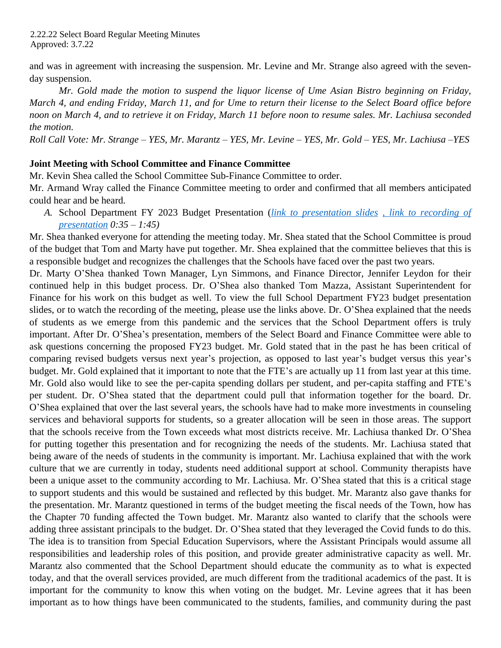and was in agreement with increasing the suspension. Mr. Levine and Mr. Strange also agreed with the sevenday suspension.

*Mr. Gold made the motion to suspend the liquor license of Ume Asian Bistro beginning on Friday,* March 4, and ending Friday, March 11, and for Ume to return their license to the Select Board office before noon on March 4, and to retrieve it on Friday, March 11 before noon to resume sales. Mr. Lachiusa seconded *the motion.* 

*Roll Call Vote: Mr. Strange – YES, Mr. Marantz – YES, Mr. Levine – YES, Mr. Gold – YES, Mr. Lachiusa –YES*

#### **Joint Meeting with School Committee and Finance Committee**

Mr. Kevin Shea called the School Committee Sub-Finance Committee to order.

Mr. Armand Wray called the Finance Committee meeting to order and confirmed that all members anticipated could hear and be heard.

*A.* School Department FY 2023 Budget Presentation (*[link to presentation slides](https://www.longmeadow.org/AgendaCenter/ViewFile/Item/2127?fileID=21678) [, link to recording of](https://www.youtube.com/watch?v=pOudKmpWbsc&list=PLDEmFQOMKpX7DAn_FmzNHMqZig_vNfa1Q) presentation 0:35 – 1:45)*

Mr. Shea thanked everyone for attending the meeting today. Mr. Shea stated that the School Committee is proud of the budget that Tom and Marty have put together. Mr. Shea explained that the committee believes that this is a responsible budget and recognizes the challenges that the Schools have faced over the past two years.

Dr. Marty O'Shea thanked Town Manager, Lyn Simmons, and Finance Director, Jennifer Leydon for their continued help in this budget process. Dr. O'Shea also thanked Tom Mazza, Assistant Superintendent for Finance for his work on this budget as well. To view the full School Department FY23 budget presentation slides, or to watch the recording of the meeting, please use the links above. Dr. O'Shea explained that the needs of students as we emerge from this pandemic and the services that the School Department offers is truly important. After Dr. O'Shea's presentation, members of the Select Board and Finance Committee were able to ask questions concerning the proposed FY23 budget. Mr. Gold stated that in the past he has been critical of comparing revised budgets versus next year's projection, as opposed to last year's budget versus this year's budget. Mr. Gold explained that it important to note that the FTE's are actually up 11 from last year at this time. Mr. Gold also would like to see the per-capita spending dollars per student, and per-capita staffing and FTE's per student. Dr. O'Shea stated that the department could pull that information together for the board. Dr. O'Shea explained that over the last several years, the schools have had to make more investments in counseling services and behavioral supports for students, so a greater allocation will be seen in those areas. The support that the schools receive from the Town exceeds what most districts receive. Mr. Lachiusa thanked Dr. O'Shea for putting together this presentation and for recognizing the needs of the students. Mr. Lachiusa stated that being aware of the needs of students in the community is important. Mr. Lachiusa explained that with the work culture that we are currently in today, students need additional support at school. Community therapists have been a unique asset to the community according to Mr. Lachiusa. Mr. O'Shea stated that this is a critical stage to support students and this would be sustained and reflected by this budget. Mr. Marantz also gave thanks for the presentation. Mr. Marantz questioned in terms of the budget meeting the fiscal needs of the Town, how has the Chapter 70 funding affected the Town budget. Mr. Marantz also wanted to clarify that the schools were adding three assistant principals to the budget. Dr. O'Shea stated that they leveraged the Covid funds to do this. The idea is to transition from Special Education Supervisors, where the Assistant Principals would assume all responsibilities and leadership roles of this position, and provide greater administrative capacity as well. Mr. Marantz also commented that the School Department should educate the community as to what is expected today, and that the overall services provided, are much different from the traditional academics of the past. It is important for the community to know this when voting on the budget. Mr. Levine agrees that it has been important as to how things have been communicated to the students, families, and community during the past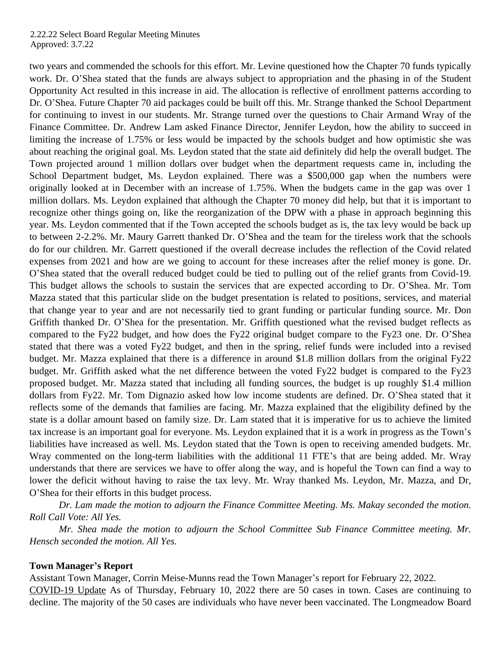two years and commended the schools for this effort. Mr. Levine questioned how the Chapter 70 funds typically work. Dr. O'Shea stated that the funds are always subject to appropriation and the phasing in of the Student Opportunity Act resulted in this increase in aid. The allocation is reflective of enrollment patterns according to Dr. O'Shea. Future Chapter 70 aid packages could be built off this. Mr. Strange thanked the School Department for continuing to invest in our students. Mr. Strange turned over the questions to Chair Armand Wray of the Finance Committee. Dr. Andrew Lam asked Finance Director, Jennifer Leydon, how the ability to succeed in limiting the increase of 1.75% or less would be impacted by the schools budget and how optimistic she was about reaching the original goal. Ms. Leydon stated that the state aid definitely did help the overall budget. The Town projected around 1 million dollars over budget when the department requests came in, including the School Department budget, Ms. Leydon explained. There was a \$500,000 gap when the numbers were originally looked at in December with an increase of 1.75%. When the budgets came in the gap was over 1 million dollars. Ms. Leydon explained that although the Chapter 70 money did help, but that it is important to recognize other things going on, like the reorganization of the DPW with a phase in approach beginning this year. Ms. Leydon commented that if the Town accepted the schools budget as is, the tax levy would be back up to between 2-2.2%. Mr. Maury Garrett thanked Dr. O'Shea and the team for the tireless work that the schools do for our children. Mr. Garrett questioned if the overall decrease includes the reflection of the Covid related expenses from 2021 and how are we going to account for these increases after the relief money is gone. Dr. O'Shea stated that the overall reduced budget could be tied to pulling out of the relief grants from Covid-19. This budget allows the schools to sustain the services that are expected according to Dr. O'Shea. Mr. Tom Mazza stated that this particular slide on the budget presentation is related to positions, services, and material that change year to year and are not necessarily tied to grant funding or particular funding source. Mr. Don Griffith thanked Dr. O'Shea for the presentation. Mr. Griffith questioned what the revised budget reflects as compared to the Fy22 budget, and how does the Fy22 original budget compare to the Fy23 one. Dr. O'Shea stated that there was a voted Fy22 budget, and then in the spring, relief funds were included into a revised budget. Mr. Mazza explained that there is a difference in around \$1.8 million dollars from the original Fy22 budget. Mr. Griffith asked what the net difference between the voted Fy22 budget is compared to the Fy23 proposed budget. Mr. Mazza stated that including all funding sources, the budget is up roughly \$1.4 million dollars from Fy22. Mr. Tom Dignazio asked how low income students are defined. Dr. O'Shea stated that it reflects some of the demands that families are facing. Mr. Mazza explained that the eligibility defined by the state is a dollar amount based on family size. Dr. Lam stated that it is imperative for us to achieve the limited tax increase is an important goal for everyone. Ms. Leydon explained that it is a work in progress as the Town's liabilities have increased as well. Ms. Leydon stated that the Town is open to receiving amended budgets. Mr. Wray commented on the long-term liabilities with the additional 11 FTE's that are being added. Mr. Wray understands that there are services we have to offer along the way, and is hopeful the Town can find a way to lower the deficit without having to raise the tax levy. Mr. Wray thanked Ms. Leydon, Mr. Mazza, and Dr, O'Shea for their efforts in this budget process.

*Dr. Lam made the motion to adjourn the Finance Committee Meeting. Ms. Makay seconded the motion. Roll Call Vote: All Yes.*

*Mr. Shea made the motion to adjourn the School Committee Sub Finance Committee meeting. Mr. Hensch seconded the motion. All Yes.* 

#### **Town Manager's Report**

Assistant Town Manager, Corrin Meise-Munns read the Town Manager's report for February 22, 2022. COVID-19 Update As of Thursday, February 10, 2022 there are 50 cases in town. Cases are continuing to decline. The majority of the 50 cases are individuals who have never been vaccinated. The Longmeadow Board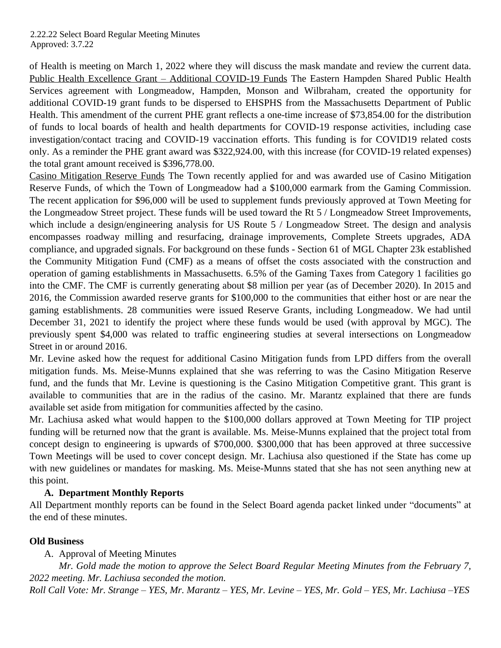of Health is meeting on March 1, 2022 where they will discuss the mask mandate and review the current data. Public Health Excellence Grant – Additional COVID-19 Funds The Eastern Hampden Shared Public Health Services agreement with Longmeadow, Hampden, Monson and Wilbraham, created the opportunity for additional COVID-19 grant funds to be dispersed to EHSPHS from the Massachusetts Department of Public Health. This amendment of the current PHE grant reflects a one-time increase of \$73,854.00 for the distribution of funds to local boards of health and health departments for COVID-19 response activities, including case investigation/contact tracing and COVID-19 vaccination efforts. This funding is for COVID19 related costs only. As a reminder the PHE grant award was \$322,924.00, with this increase (for COVID-19 related expenses) the total grant amount received is \$396,778.00.

Casino Mitigation Reserve Funds The Town recently applied for and was awarded use of Casino Mitigation Reserve Funds, of which the Town of Longmeadow had a \$100,000 earmark from the Gaming Commission. The recent application for \$96,000 will be used to supplement funds previously approved at Town Meeting for the Longmeadow Street project. These funds will be used toward the Rt 5 / Longmeadow Street Improvements, which include a design/engineering analysis for US Route 5 / Longmeadow Street. The design and analysis encompasses roadway milling and resurfacing, drainage improvements, Complete Streets upgrades, ADA compliance, and upgraded signals. For background on these funds - Section 61 of MGL Chapter 23k established the Community Mitigation Fund (CMF) as a means of offset the costs associated with the construction and operation of gaming establishments in Massachusetts. 6.5% of the Gaming Taxes from Category 1 facilities go into the CMF. The CMF is currently generating about \$8 million per year (as of December 2020). In 2015 and 2016, the Commission awarded reserve grants for \$100,000 to the communities that either host or are near the gaming establishments. 28 communities were issued Reserve Grants, including Longmeadow. We had until December 31, 2021 to identify the project where these funds would be used (with approval by MGC). The previously spent \$4,000 was related to traffic engineering studies at several intersections on Longmeadow Street in or around 2016.

Mr. Levine asked how the request for additional Casino Mitigation funds from LPD differs from the overall mitigation funds. Ms. Meise-Munns explained that she was referring to was the Casino Mitigation Reserve fund, and the funds that Mr. Levine is questioning is the Casino Mitigation Competitive grant. This grant is available to communities that are in the radius of the casino. Mr. Marantz explained that there are funds available set aside from mitigation for communities affected by the casino.

Mr. Lachiusa asked what would happen to the \$100,000 dollars approved at Town Meeting for TIP project funding will be returned now that the grant is available. Ms. Meise-Munns explained that the project total from concept design to engineering is upwards of \$700,000. \$300,000 that has been approved at three successive Town Meetings will be used to cover concept design. Mr. Lachiusa also questioned if the State has come up with new guidelines or mandates for masking. Ms. Meise-Munns stated that she has not seen anything new at this point.

## **A. Department Monthly Reports**

All Department monthly reports can be found in the Select Board agenda packet linked under "documents" at the end of these minutes.

## **Old Business**

A. Approval of Meeting Minutes

*Mr. Gold made the motion to approve the Select Board Regular Meeting Minutes from the February 7, 2022 meeting. Mr. Lachiusa seconded the motion.*

*Roll Call Vote: Mr. Strange – YES, Mr. Marantz – YES, Mr. Levine – YES, Mr. Gold – YES, Mr. Lachiusa –YES*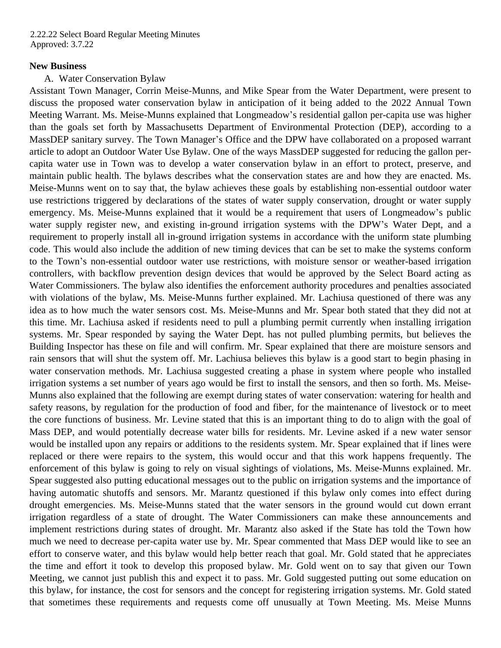#### **New Business**

#### A. Water Conservation Bylaw

Assistant Town Manager, Corrin Meise-Munns, and Mike Spear from the Water Department, were present to discuss the proposed water conservation bylaw in anticipation of it being added to the 2022 Annual Town Meeting Warrant. Ms. Meise-Munns explained that Longmeadow's residential gallon per-capita use was higher than the goals set forth by Massachusetts Department of Environmental Protection (DEP), according to a MassDEP sanitary survey. The Town Manager's Office and the DPW have collaborated on a proposed warrant article to adopt an Outdoor Water Use Bylaw. One of the ways MassDEP suggested for reducing the gallon percapita water use in Town was to develop a water conservation bylaw in an effort to protect, preserve, and maintain public health. The bylaws describes what the conservation states are and how they are enacted. Ms. Meise-Munns went on to say that, the bylaw achieves these goals by establishing non-essential outdoor water use restrictions triggered by declarations of the states of water supply conservation, drought or water supply emergency. Ms. Meise-Munns explained that it would be a requirement that users of Longmeadow's public water supply register new, and existing in-ground irrigation systems with the DPW's Water Dept, and a requirement to properly install all in-ground irrigation systems in accordance with the uniform state plumbing code. This would also include the addition of new timing devices that can be set to make the systems conform to the Town's non-essential outdoor water use restrictions, with moisture sensor or weather-based irrigation controllers, with backflow prevention design devices that would be approved by the Select Board acting as Water Commissioners. The bylaw also identifies the enforcement authority procedures and penalties associated with violations of the bylaw, Ms. Meise-Munns further explained. Mr. Lachiusa questioned of there was any idea as to how much the water sensors cost. Ms. Meise-Munns and Mr. Spear both stated that they did not at this time. Mr. Lachiusa asked if residents need to pull a plumbing permit currently when installing irrigation systems. Mr. Spear responded by saying the Water Dept. has not pulled plumbing permits, but believes the Building Inspector has these on file and will confirm. Mr. Spear explained that there are moisture sensors and rain sensors that will shut the system off. Mr. Lachiusa believes this bylaw is a good start to begin phasing in water conservation methods. Mr. Lachiusa suggested creating a phase in system where people who installed irrigation systems a set number of years ago would be first to install the sensors, and then so forth. Ms. Meise-Munns also explained that the following are exempt during states of water conservation: watering for health and safety reasons, by regulation for the production of food and fiber, for the maintenance of livestock or to meet the core functions of business. Mr. Levine stated that this is an important thing to do to align with the goal of Mass DEP, and would potentially decrease water bills for residents. Mr. Levine asked if a new water sensor would be installed upon any repairs or additions to the residents system. Mr. Spear explained that if lines were replaced or there were repairs to the system, this would occur and that this work happens frequently. The enforcement of this bylaw is going to rely on visual sightings of violations, Ms. Meise-Munns explained. Mr. Spear suggested also putting educational messages out to the public on irrigation systems and the importance of having automatic shutoffs and sensors. Mr. Marantz questioned if this bylaw only comes into effect during drought emergencies. Ms. Meise-Munns stated that the water sensors in the ground would cut down errant irrigation regardless of a state of drought. The Water Commissioners can make these announcements and implement restrictions during states of drought. Mr. Marantz also asked if the State has told the Town how much we need to decrease per-capita water use by. Mr. Spear commented that Mass DEP would like to see an effort to conserve water, and this bylaw would help better reach that goal. Mr. Gold stated that he appreciates the time and effort it took to develop this proposed bylaw. Mr. Gold went on to say that given our Town Meeting, we cannot just publish this and expect it to pass. Mr. Gold suggested putting out some education on this bylaw, for instance, the cost for sensors and the concept for registering irrigation systems. Mr. Gold stated that sometimes these requirements and requests come off unusually at Town Meeting. Ms. Meise Munns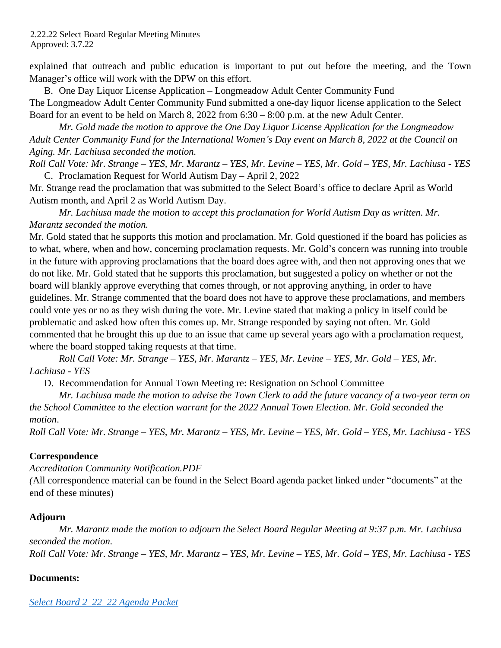explained that outreach and public education is important to put out before the meeting, and the Town Manager's office will work with the DPW on this effort.

B. One Day Liquor License Application – Longmeadow Adult Center Community Fund The Longmeadow Adult Center Community Fund submitted a one-day liquor license application to the Select Board for an event to be held on March 8,  $2022$  from  $6:30 - 8:00$  p.m. at the new Adult Center.

*Mr. Gold made the motion to approve the One Day Liquor License Application for the Longmeadow Adult Center Community Fund for the International Women's Day event on March 8, 2022 at the Council on Aging. Mr. Lachiusa seconded the motion.*

*Roll Call Vote: Mr. Strange – YES, Mr. Marantz – YES, Mr. Levine – YES, Mr. Gold – YES, Mr. Lachiusa - YES* C. Proclamation Request for World Autism Day – April 2, 2022

Mr. Strange read the proclamation that was submitted to the Select Board's office to declare April as World Autism month, and April 2 as World Autism Day.

*Mr. Lachiusa made the motion to accept this proclamation for World Autism Day as written. Mr. Marantz seconded the motion.* 

Mr. Gold stated that he supports this motion and proclamation. Mr. Gold questioned if the board has policies as to what, where, when and how, concerning proclamation requests. Mr. Gold's concern was running into trouble in the future with approving proclamations that the board does agree with, and then not approving ones that we do not like. Mr. Gold stated that he supports this proclamation, but suggested a policy on whether or not the board will blankly approve everything that comes through, or not approving anything, in order to have guidelines. Mr. Strange commented that the board does not have to approve these proclamations, and members could vote yes or no as they wish during the vote. Mr. Levine stated that making a policy in itself could be problematic and asked how often this comes up. Mr. Strange responded by saying not often. Mr. Gold commented that he brought this up due to an issue that came up several years ago with a proclamation request, where the board stopped taking requests at that time.

*Roll Call Vote: Mr. Strange – YES, Mr. Marantz – YES, Mr. Levine – YES, Mr. Gold – YES, Mr. Lachiusa - YES*

D. Recommendation for Annual Town Meeting re: Resignation on School Committee

*Mr. Lachiusa made the motion to advise the Town Clerk to add the future vacancy of a two-year term on the School Committee to the election warrant for the 2022 Annual Town Election. Mr. Gold seconded the motion*.

*Roll Call Vote: Mr. Strange – YES, Mr. Marantz – YES, Mr. Levine – YES, Mr. Gold – YES, Mr. Lachiusa - YES*

## **Correspondence**

*Accreditation Community Notification.PDF*

*(*All correspondence material can be found in the Select Board agenda packet linked under "documents" at the end of these minutes)

## **Adjourn**

*Mr. Marantz made the motion to adjourn the Select Board Regular Meeting at 9:37 p.m. Mr. Lachiusa seconded the motion. Roll Call Vote: Mr. Strange – YES, Mr. Marantz – YES, Mr. Levine – YES, Mr. Gold – YES, Mr. Lachiusa - YES*

## **Documents:**

*[Select Board 2\\_22\\_22 Agenda Packet](https://www.longmeadow.org/AgendaCenter/ViewFile/Agenda/_02222022-3714?packet=true)*